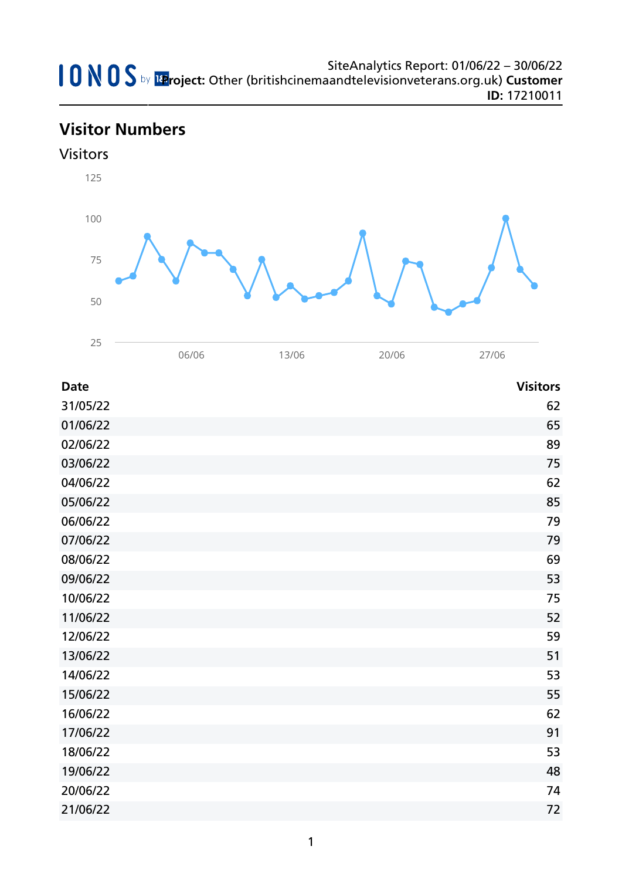# **Visitor Numbers**



| <b>Date</b> | <b>Visitors</b> |
|-------------|-----------------|
| 31/05/22    | 62              |
| 01/06/22    | 65              |
| 02/06/22    | 89              |
| 03/06/22    | 75              |
| 04/06/22    | 62              |
| 05/06/22    | 85              |
| 06/06/22    | 79              |
| 07/06/22    | 79              |
| 08/06/22    | 69              |
| 09/06/22    | 53              |
| 10/06/22    | 75              |
| 11/06/22    | 52              |
| 12/06/22    | 59              |
| 13/06/22    | 51              |
| 14/06/22    | 53              |
| 15/06/22    | 55              |
| 16/06/22    | 62              |
| 17/06/22    | 91              |
| 18/06/22    | 53              |
| 19/06/22    | 48              |
| 20/06/22    | 74              |
| 21/06/22    | 72              |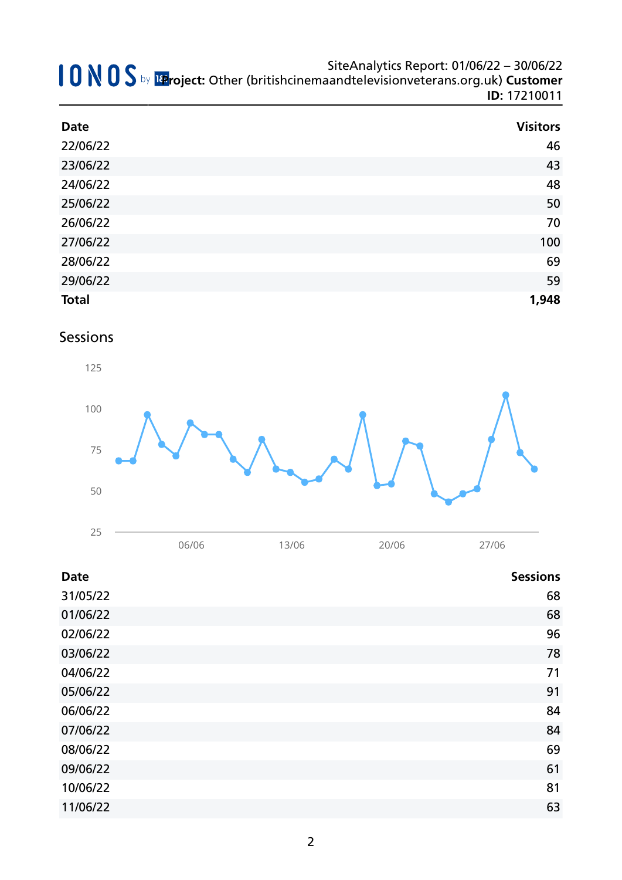| <b>Date</b>  | <b>Visitors</b> |
|--------------|-----------------|
| 22/06/22     | 46              |
| 23/06/22     | 43              |
| 24/06/22     | 48              |
| 25/06/22     | 50              |
| 26/06/22     | 70              |
| 27/06/22     | 100             |
| 28/06/22     | 69              |
| 29/06/22     | 59              |
| <b>Total</b> | 1,948           |

### Sessions



| 06/06 | 13/06 | 20/06 | 27/06 |
|-------|-------|-------|-------|
|       |       |       |       |

| <b>Date</b> | <b>Sessions</b> |
|-------------|-----------------|
| 31/05/22    | 68              |
| 01/06/22    | 68              |
| 02/06/22    | 96              |
| 03/06/22    | 78              |
| 04/06/22    | 71              |
| 05/06/22    | 91              |
| 06/06/22    | 84              |
| 07/06/22    | 84              |
| 08/06/22    | 69              |
| 09/06/22    | 61              |
| 10/06/22    | 81              |
| 11/06/22    | 63              |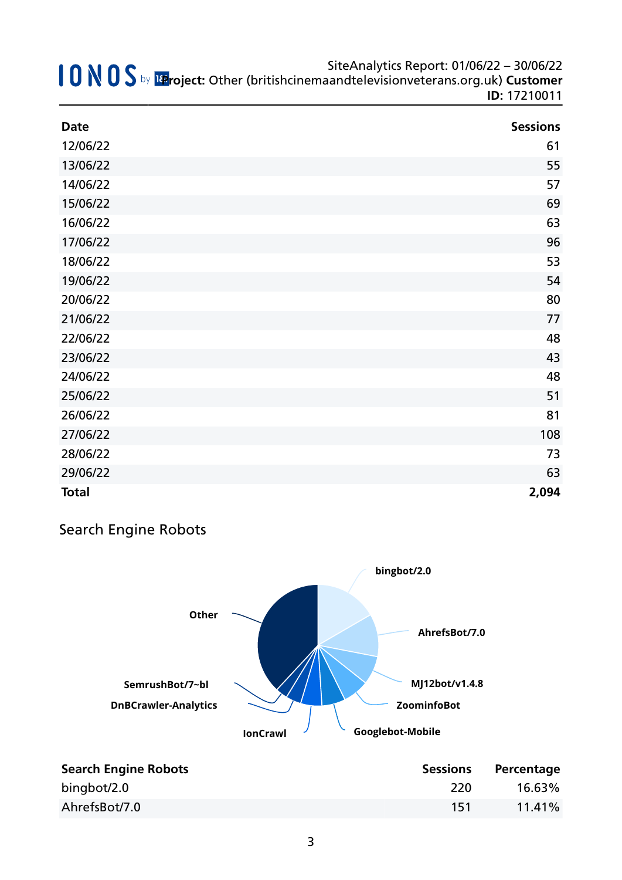| SiteAnalytics Report: 01/06/22 - 30/06/22<br>SiteAnalytics Report: 01/06/22 - 30/06/22<br>IteAnalytics Report: 01/06/22 - 30/06/22 Mg D S by Expoject: Other (britishcinemaandtelevisionveterans.org.uk) |
|----------------------------------------------------------------------------------------------------------------------------------------------------------------------------------------------------------|
| <b>ID: 17210011</b>                                                                                                                                                                                      |

| <b>Date</b>  | <b>Sessions</b> |
|--------------|-----------------|
| 12/06/22     | 61              |
| 13/06/22     | 55              |
| 14/06/22     | 57              |
| 15/06/22     | 69              |
| 16/06/22     | 63              |
| 17/06/22     | 96              |
| 18/06/22     | 53              |
| 19/06/22     | 54              |
| 20/06/22     | 80              |
| 21/06/22     | 77              |
| 22/06/22     | 48              |
| 23/06/22     | 43              |
| 24/06/22     | 48              |
| 25/06/22     | 51              |
| 26/06/22     | 81              |
| 27/06/22     | 108             |
| 28/06/22     | 73              |
| 29/06/22     | 63              |
| <b>Total</b> | 2,094           |

# Search Engine Robots



| <b>Search Engine Robots</b> | <b>Sessions</b> | Percentage |
|-----------------------------|-----------------|------------|
| bingbot/2.0                 | 220             | 16.63%     |
| AhrefsBot/7.0               | 151             | $11.41\%$  |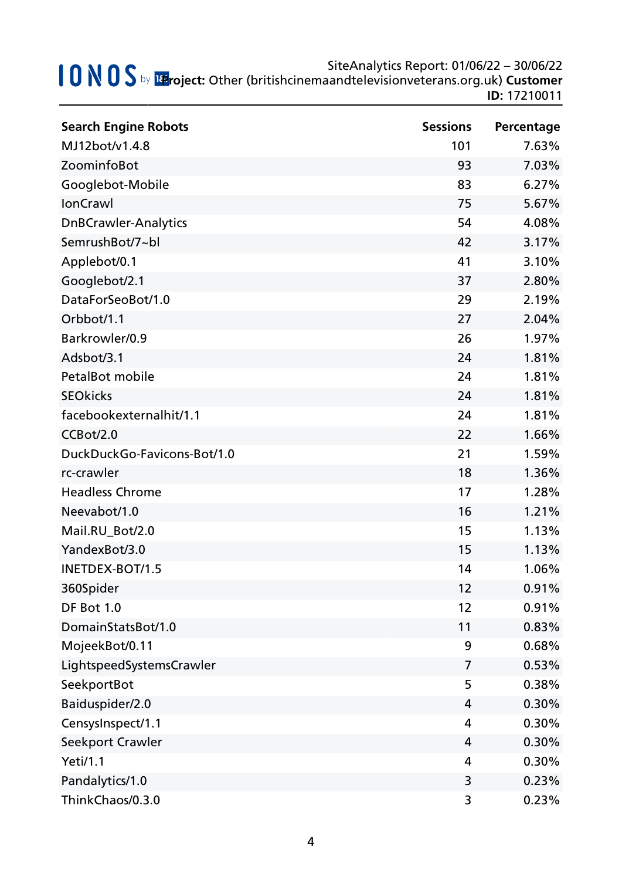| <b>Search Engine Robots</b> | <b>Sessions</b> | Percentage |
|-----------------------------|-----------------|------------|
| MJ12bot/v1.4.8              | 101             | 7.63%      |
| ZoominfoBot                 | 93              | 7.03%      |
| Googlebot-Mobile            | 83              | 6.27%      |
| IonCrawl                    | 75              | 5.67%      |
| <b>DnBCrawler-Analytics</b> | 54              | 4.08%      |
| SemrushBot/7~bl             | 42              | 3.17%      |
| Applebot/0.1                | 41              | 3.10%      |
| Googlebot/2.1               | 37              | 2.80%      |
| DataForSeoBot/1.0           | 29              | 2.19%      |
| Orbbot/1.1                  | 27              | 2.04%      |
| Barkrowler/0.9              | 26              | 1.97%      |
| Adsbot/3.1                  | 24              | 1.81%      |
| PetalBot mobile             | 24              | 1.81%      |
| <b>SEOkicks</b>             | 24              | 1.81%      |
| facebookexternalhit/1.1     | 24              | 1.81%      |
| CCBot/2.0                   | 22              | 1.66%      |
| DuckDuckGo-Favicons-Bot/1.0 | 21              | 1.59%      |
| rc-crawler                  | 18              | 1.36%      |
| <b>Headless Chrome</b>      | 17              | 1.28%      |
| Neevabot/1.0                | 16              | 1.21%      |
| Mail.RU_Bot/2.0             | 15              | 1.13%      |
| YandexBot/3.0               | 15              | 1.13%      |
| INETDEX-BOT/1.5             | 14              | 1.06%      |
| 360Spider                   | 12              | 0.91%      |
| DF Bot 1.0                  | 12              | 0.91%      |
| DomainStatsBot/1.0          | 11              | 0.83%      |
| MojeekBot/0.11              | 9               | 0.68%      |
| LightspeedSystemsCrawler    | 7               | 0.53%      |
| SeekportBot                 | 5               | 0.38%      |
| Baiduspider/2.0             | 4               | 0.30%      |
| CensysInspect/1.1           | 4               | 0.30%      |
| Seekport Crawler            | 4               | 0.30%      |
| <b>Yeti/1.1</b>             | 4               | 0.30%      |
| Pandalytics/1.0             | 3               | 0.23%      |
| ThinkChaos/0.3.0            | 3               | 0.23%      |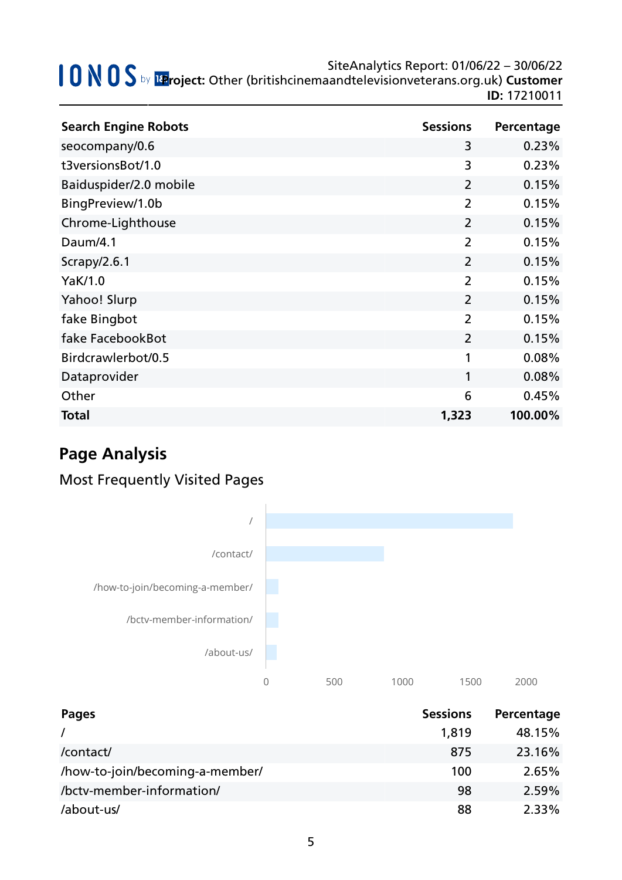| <b>Search Engine Robots</b> | <b>Sessions</b> | Percentage |
|-----------------------------|-----------------|------------|
| seocompany/0.6              | 3               | 0.23%      |
| t3versionsBot/1.0           | 3               | 0.23%      |
| Baiduspider/2.0 mobile      | $\overline{2}$  | 0.15%      |
| BingPreview/1.0b            | 2               | 0.15%      |
| Chrome-Lighthouse           | $\overline{2}$  | 0.15%      |
| Daum/4.1                    | $\overline{2}$  | 0.15%      |
| Scrapy/2.6.1                | $\overline{2}$  | 0.15%      |
| YaK/1.0                     | $\overline{2}$  | 0.15%      |
| Yahoo! Slurp                | $\overline{2}$  | 0.15%      |
| fake Bingbot                | $\overline{2}$  | 0.15%      |
| fake FacebookBot            | $\overline{2}$  | 0.15%      |
| Birdcrawlerbot/0.5          | 1               | 0.08%      |
| Dataprovider                | 1               | 0.08%      |
| Other                       | 6               | 0.45%      |
| <b>Total</b>                | 1,323           | 100.00%    |

# **Page Analysis**

# Most Frequently Visited Pages



| Pages                           | <b>Sessions</b> | Percentage |
|---------------------------------|-----------------|------------|
|                                 | 1,819           | 48.15%     |
| /contact/                       | 875             | 23.16%     |
| /how-to-join/becoming-a-member/ | 100             | 2.65%      |
| /bctv-member-information/       | 98              | 2.59%      |
| /about-us/                      | 88              | $2.33\%$   |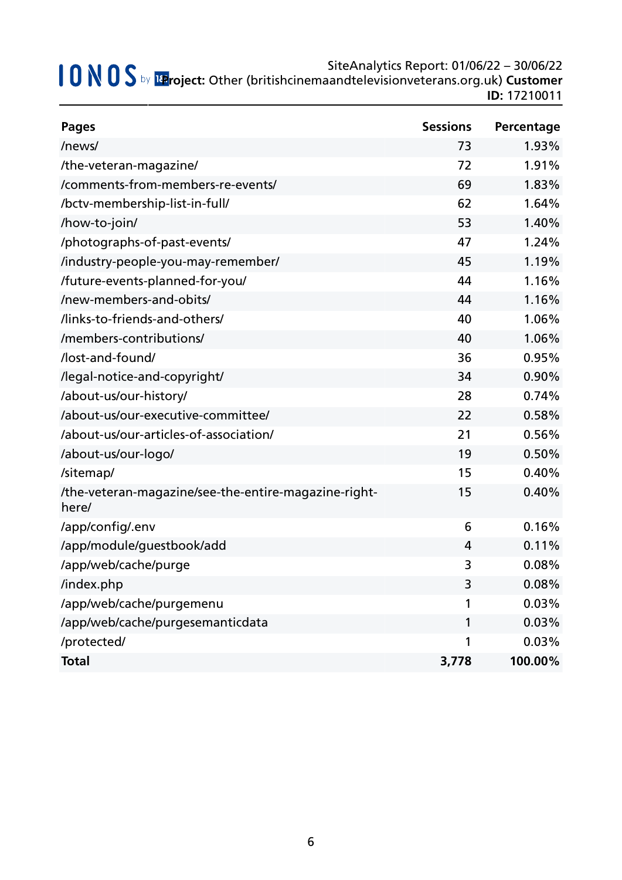| <b>Pages</b>                                                  | <b>Sessions</b> | Percentage |
|---------------------------------------------------------------|-----------------|------------|
| /news/                                                        | 73              | 1.93%      |
| /the-veteran-magazine/                                        | 72              | 1.91%      |
| /comments-from-members-re-events/                             | 69              | 1.83%      |
| /bctv-membership-list-in-full/                                | 62              | 1.64%      |
| /how-to-join/                                                 | 53              | 1.40%      |
| /photographs-of-past-events/                                  | 47              | 1.24%      |
| /industry-people-you-may-remember/                            | 45              | 1.19%      |
| /future-events-planned-for-you/                               | 44              | 1.16%      |
| /new-members-and-obits/                                       | 44              | 1.16%      |
| /links-to-friends-and-others/                                 | 40              | 1.06%      |
| /members-contributions/                                       | 40              | 1.06%      |
| /lost-and-found/                                              | 36              | 0.95%      |
| /legal-notice-and-copyright/                                  | 34              | 0.90%      |
| /about-us/our-history/                                        | 28              | 0.74%      |
| /about-us/our-executive-committee/                            | 22              | 0.58%      |
| /about-us/our-articles-of-association/                        | 21              | 0.56%      |
| /about-us/our-logo/                                           | 19              | 0.50%      |
| /sitemap/                                                     | 15              | 0.40%      |
| /the-veteran-magazine/see-the-entire-magazine-right-<br>here/ | 15              | 0.40%      |
| /app/config/.env                                              | 6               | 0.16%      |
| /app/module/guestbook/add                                     | 4               | 0.11%      |
| /app/web/cache/purge                                          | 3               | 0.08%      |
| /index.php                                                    | 3               | 0.08%      |
| /app/web/cache/purgemenu                                      | 1               | 0.03%      |
| /app/web/cache/purgesemanticdata                              | 1               | 0.03%      |
| /protected/                                                   | 1               | 0.03%      |
| <b>Total</b>                                                  | 3,778           | 100.00%    |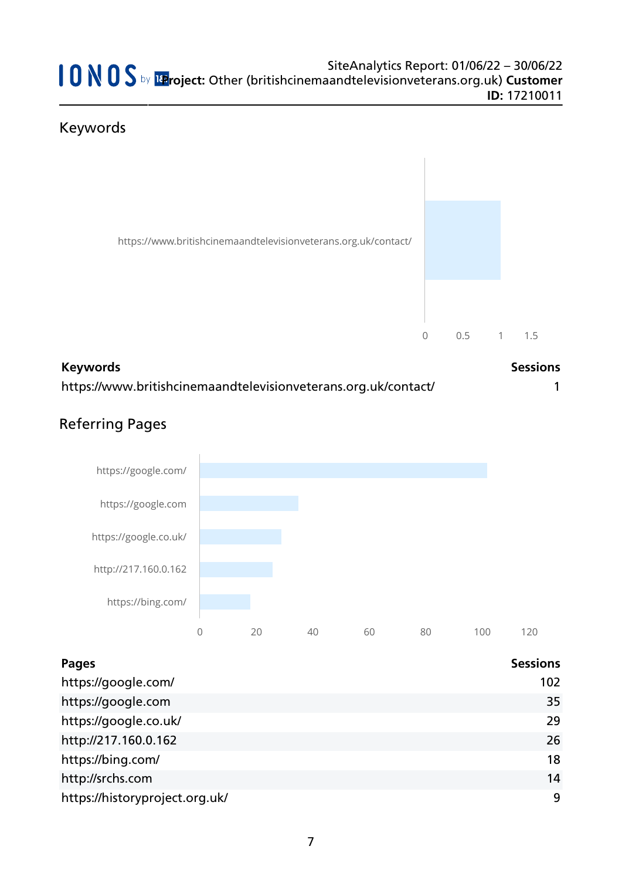# Keywords



| <b>Keywords</b>                                                | <b>Sessions</b> |
|----------------------------------------------------------------|-----------------|
| https://www.britishcinemaandtelevisionveterans.org.uk/contact/ |                 |

# Referring Pages



| Pages                          | <b>Sessions</b> |
|--------------------------------|-----------------|
| https://google.com/            | 102             |
| https://google.com             | 35              |
| https://google.co.uk/          | 29              |
| http://217.160.0.162           | 26              |
| https://bing.com/              | 18              |
| http://srchs.com               | 14              |
| https://historyproject.org.uk/ | 9               |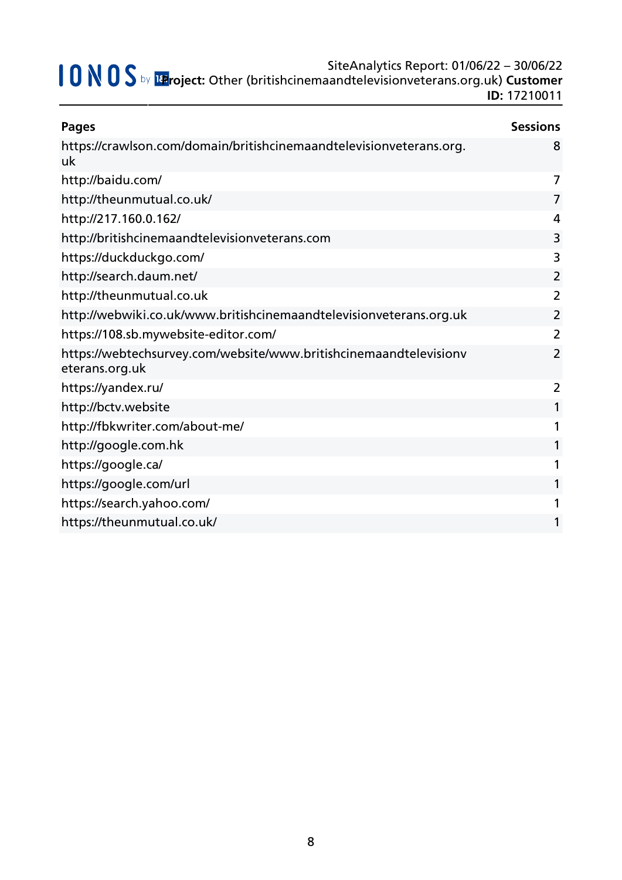| <b>Pages</b>                                                                        | <b>Sessions</b> |
|-------------------------------------------------------------------------------------|-----------------|
| https://crawlson.com/domain/britishcinemaandtelevisionveterans.org.<br>uk           | 8               |
| http://baidu.com/                                                                   | 7               |
| http://theunmutual.co.uk/                                                           | $\overline{7}$  |
| http://217.160.0.162/                                                               | 4               |
| http://britishcinemaandtelevisionveterans.com                                       | 3               |
| https://duckduckgo.com/                                                             | 3               |
| http://search.daum.net/                                                             | $\overline{2}$  |
| http://theunmutual.co.uk                                                            | $\overline{2}$  |
| http://webwiki.co.uk/www.britishcinemaandtelevisionveterans.org.uk                  | $\overline{2}$  |
| https://108.sb.mywebsite-editor.com/                                                | 2               |
| https://webtechsurvey.com/website/www.britishcinemaandtelevisionv<br>eterans.org.uk | $\overline{2}$  |
| https://yandex.ru/                                                                  | 2               |
| http://bctv.website                                                                 |                 |
| http://fbkwriter.com/about-me/                                                      | 1               |
| http://google.com.hk                                                                | 1               |
| https://google.ca/                                                                  |                 |
| https://google.com/url                                                              |                 |
| https://search.yahoo.com/                                                           |                 |
| https://theunmutual.co.uk/                                                          |                 |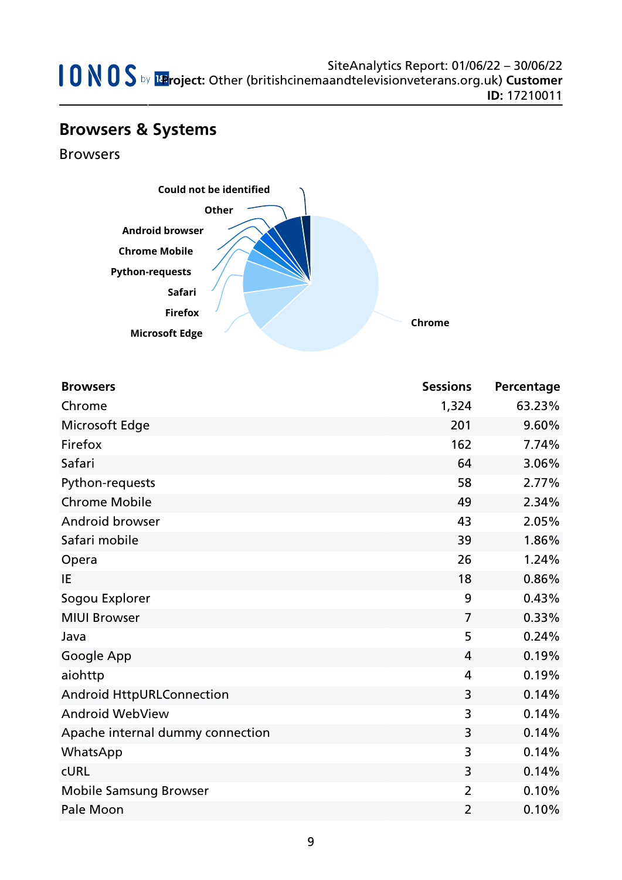# **Browsers & Systems**

Browsers



| <b>Browsers</b>                  | <b>Sessions</b> | Percentage |
|----------------------------------|-----------------|------------|
| Chrome                           | 1,324           | 63.23%     |
| Microsoft Edge                   | 201             | 9.60%      |
| Firefox                          | 162             | 7.74%      |
| Safari                           | 64              | 3.06%      |
| Python-requests                  | 58              | 2.77%      |
| <b>Chrome Mobile</b>             | 49              | 2.34%      |
| Android browser                  | 43              | 2.05%      |
| Safari mobile                    | 39              | 1.86%      |
| Opera                            | 26              | 1.24%      |
| IE                               | 18              | 0.86%      |
| Sogou Explorer                   | 9               | 0.43%      |
| <b>MIUI Browser</b>              | $\overline{7}$  | 0.33%      |
| Java                             | 5               | 0.24%      |
| Google App                       | $\overline{4}$  | 0.19%      |
| aiohttp                          | 4               | 0.19%      |
| <b>Android HttpURLConnection</b> | 3               | 0.14%      |
| <b>Android WebView</b>           | 3               | 0.14%      |
| Apache internal dummy connection | 3               | 0.14%      |
| WhatsApp                         | 3               | 0.14%      |
| <b>CURL</b>                      | 3               | 0.14%      |
| <b>Mobile Samsung Browser</b>    | $\overline{2}$  | 0.10%      |
| Pale Moon                        | $\overline{2}$  | 0.10%      |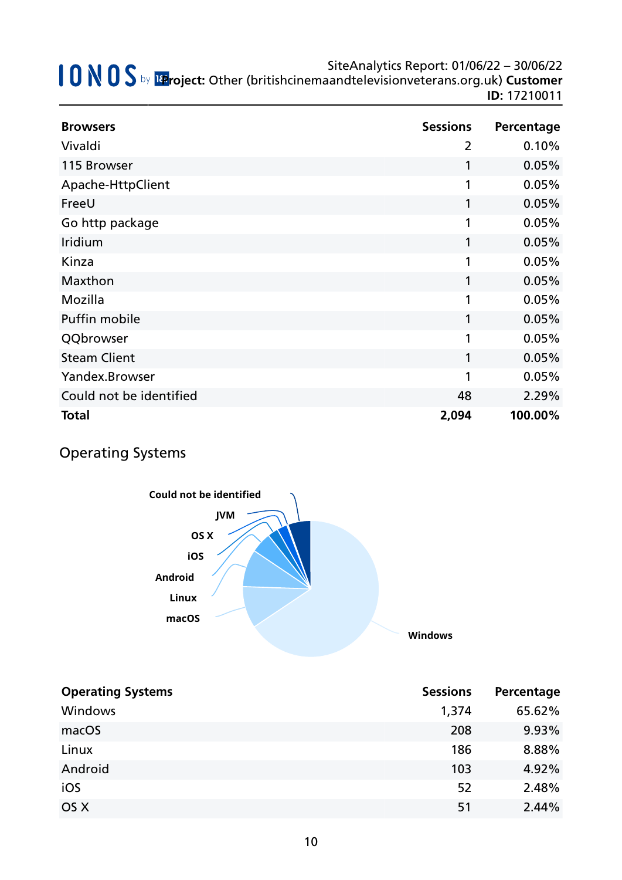| <b>Browsers</b>         | <b>Sessions</b> | Percentage |
|-------------------------|-----------------|------------|
| Vivaldi                 | $\overline{2}$  | 0.10%      |
| 115 Browser             | 1               | 0.05%      |
| Apache-HttpClient       | 1               | 0.05%      |
| FreeU                   | 1               | 0.05%      |
| Go http package         | 1               | 0.05%      |
| Iridium                 | 1               | 0.05%      |
| Kinza                   | 1               | 0.05%      |
| Maxthon                 | 1               | 0.05%      |
| Mozilla                 | 1               | 0.05%      |
| Puffin mobile           | 1               | 0.05%      |
| QQbrowser               | 1               | 0.05%      |
| <b>Steam Client</b>     | 1               | 0.05%      |
| Yandex.Browser          | 1               | 0.05%      |
| Could not be identified | 48              | 2.29%      |
| <b>Total</b>            | 2,094           | 100.00%    |

# Operating Systems



| <b>Operating Systems</b> | <b>Sessions</b> | Percentage |
|--------------------------|-----------------|------------|
| Windows                  | 1,374           | 65.62%     |
| macOS                    | 208             | 9.93%      |
| Linux                    | 186             | 8.88%      |
| Android                  | 103             | 4.92%      |
| iOS                      | 52              | 2.48%      |
| OS X                     | 51              | 2.44%      |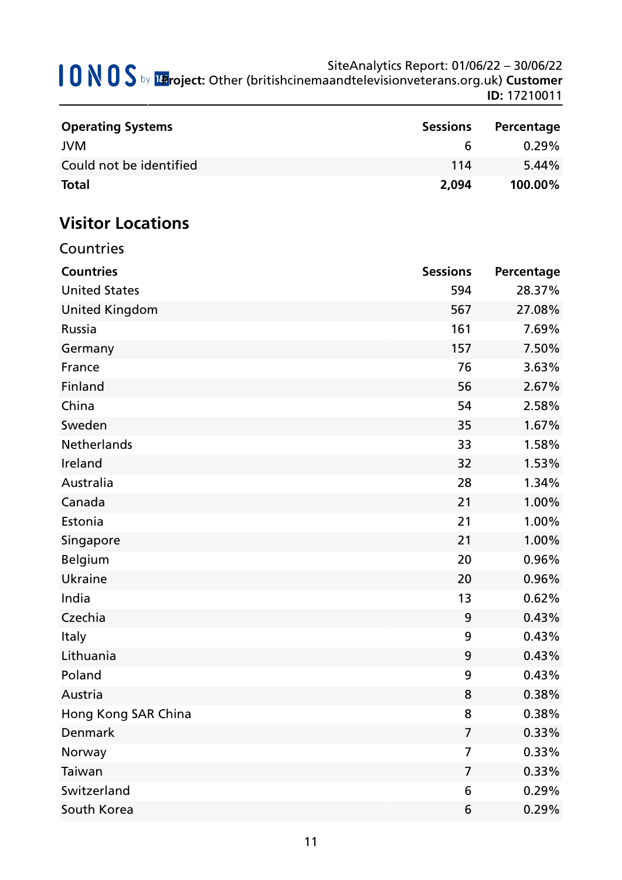| <b>Operating Systems</b> | <b>Sessions</b> | Percentage |
|--------------------------|-----------------|------------|
| <b>JVM</b>               | h               | $0.29\%$   |
| Could not be identified  | 114             | $5.44\%$   |
| <b>Total</b>             | 2,094           | 100.00%    |

# **Visitor Locations**

| Countries             |                 |            |
|-----------------------|-----------------|------------|
| <b>Countries</b>      | <b>Sessions</b> | Percentage |
| <b>United States</b>  | 594             | 28.37%     |
| <b>United Kingdom</b> | 567             | 27.08%     |
| Russia                | 161             | 7.69%      |
| Germany               | 157             | 7.50%      |
| France                | 76              | 3.63%      |
| Finland               | 56              | 2.67%      |
| China                 | 54              | 2.58%      |
| Sweden                | 35              | 1.67%      |
| Netherlands           | 33              | 1.58%      |
| Ireland               | 32              | 1.53%      |
| Australia             | 28              | 1.34%      |
| Canada                | 21              | 1.00%      |
| Estonia               | 21              | 1.00%      |
| Singapore             | 21              | 1.00%      |
| <b>Belgium</b>        | 20              | 0.96%      |
| <b>Ukraine</b>        | 20              | 0.96%      |
| India                 | 13              | 0.62%      |
| Czechia               | 9               | 0.43%      |
| <b>Italy</b>          | 9               | 0.43%      |
| Lithuania             | 9               | 0.43%      |
| Poland                | 9               | 0.43%      |
| Austria               | 8               | 0.38%      |
| Hong Kong SAR China   | 8               | 0.38%      |
| Denmark               | $\overline{7}$  | 0.33%      |
| Norway                | $\overline{7}$  | 0.33%      |
| Taiwan                | $\overline{7}$  | 0.33%      |
| Switzerland           | 6               | 0.29%      |
| South Korea           | 6               | 0.29%      |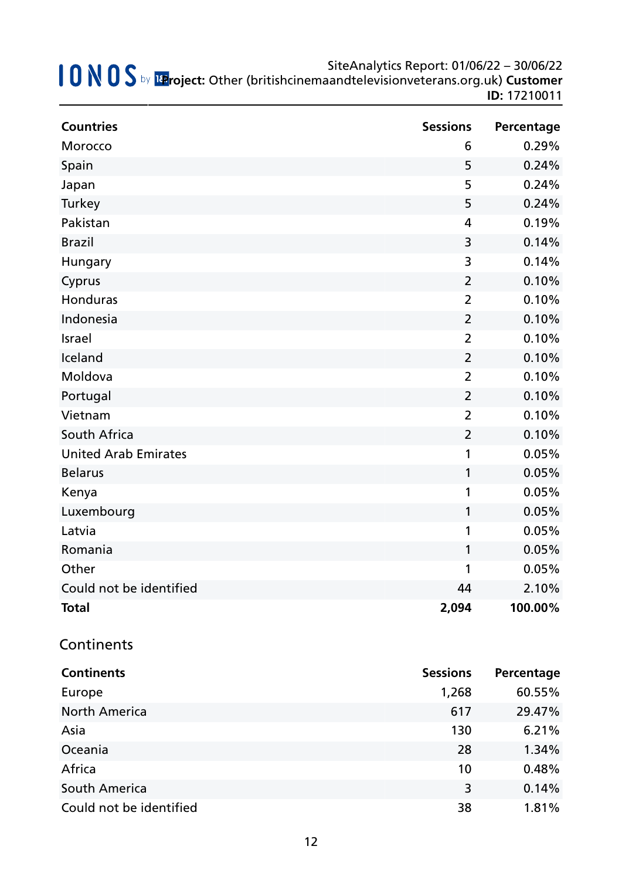| <b>Countries</b>            | <b>Sessions</b> | Percentage |
|-----------------------------|-----------------|------------|
| Morocco                     | 6               | 0.29%      |
| Spain                       | 5               | 0.24%      |
| Japan                       | 5               | 0.24%      |
| Turkey                      | 5               | 0.24%      |
| Pakistan                    | $\overline{4}$  | 0.19%      |
| <b>Brazil</b>               | 3               | 0.14%      |
| Hungary                     | 3               | 0.14%      |
| Cyprus                      | $\overline{2}$  | 0.10%      |
| Honduras                    | $\overline{2}$  | 0.10%      |
| Indonesia                   | $\overline{2}$  | 0.10%      |
| Israel                      | $\overline{2}$  | 0.10%      |
| Iceland                     | $\overline{2}$  | 0.10%      |
| Moldova                     | $\overline{2}$  | 0.10%      |
| Portugal                    | $\overline{2}$  | 0.10%      |
| Vietnam                     | $\overline{2}$  | 0.10%      |
| South Africa                | $\overline{2}$  | 0.10%      |
| <b>United Arab Emirates</b> | 1               | 0.05%      |
| <b>Belarus</b>              | $\mathbf{1}$    | 0.05%      |
| Kenya                       | 1               | 0.05%      |
| Luxembourg                  | 1               | 0.05%      |
| Latvia                      | 1               | 0.05%      |
| Romania                     | 1               | 0.05%      |
| Other                       | 1               | 0.05%      |
| Could not be identified     | 44              | 2.10%      |
| <b>Total</b>                | 2,094           | 100.00%    |

### **Continents**

| <b>Continents</b>       | <b>Sessions</b> | Percentage |
|-------------------------|-----------------|------------|
| Europe                  | 1,268           | 60.55%     |
| <b>North America</b>    | 617             | 29.47%     |
| Asia                    | 130             | 6.21%      |
| Oceania                 | 28              | 1.34%      |
| Africa                  | 10              | 0.48%      |
| South America           | 3               | 0.14%      |
| Could not be identified | 38              | 1.81%      |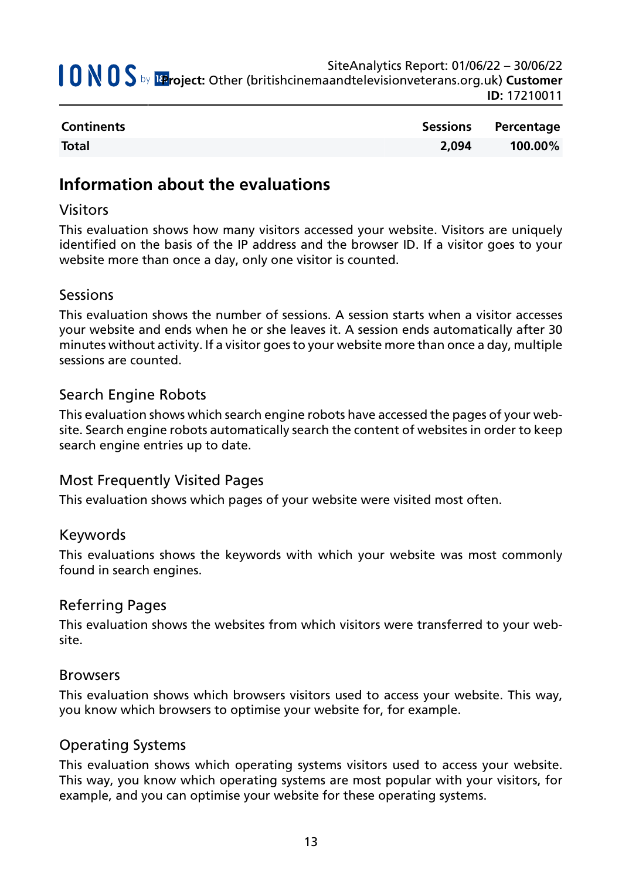| SiteAnalytics Report: 01/06/22 - 30/06/22<br>SiteAnalytics Report: 01/06/22 - 30/06/22<br>IteAnalytics Report: 01/06/22 - 30/06/22 Manus Depart: Other (britishcinemaandtelevisionveterans.org.uk) Customer |
|-------------------------------------------------------------------------------------------------------------------------------------------------------------------------------------------------------------|
| <b>ID: 17210011</b>                                                                                                                                                                                         |

| <b>Continents</b> |       | Sessions Percentage |
|-------------------|-------|---------------------|
| <b>Total</b>      | 2.094 | 100.00%             |

## **Information about the evaluations**

### Visitors

This evaluation shows how many visitors accessed your website. Visitors are uniquely identified on the basis of the IP address and the browser ID. If a visitor goes to your website more than once a day, only one visitor is counted.

### Sessions

This evaluation shows the number of sessions. A session starts when a visitor accesses your website and ends when he or she leaves it. A session ends automatically after 30 minutes without activity. If a visitor goes to your website more than once a day, multiple sessions are counted.

### Search Engine Robots

This evaluation shows which search engine robots have accessed the pages of your website. Search engine robots automatically search the content of websites in order to keep search engine entries up to date.

### Most Frequently Visited Pages

This evaluation shows which pages of your website were visited most often.

### Keywords

This evaluations shows the keywords with which your website was most commonly found in search engines.

### Referring Pages

This evaluation shows the websites from which visitors were transferred to your website.

### Browsers

This evaluation shows which browsers visitors used to access your website. This way, you know which browsers to optimise your website for, for example.

### Operating Systems

This evaluation shows which operating systems visitors used to access your website. This way, you know which operating systems are most popular with your visitors, for example, and you can optimise your website for these operating systems.